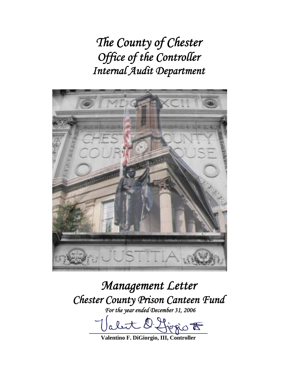*The County of Chester Office of the Controller Internal Audit Department* 



*Management Letter Chester County Prison Canteen Fund* 

*For the year ended December 31, 2006* 

let O. forgio F

**Valentino F. DiGiorgio, III, Controller**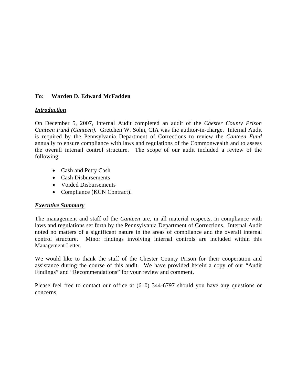#### **To: Warden D. Edward McFadden**

#### *Introduction*

On December 5, 2007, Internal Audit completed an audit of the *Chester County Prison Canteen Fund (Canteen)*. Gretchen W. Sohn, CIA was the auditor-in-charge. Internal Audit is required by the Pennsylvania Department of Corrections to review the *Canteen Fund* annually to ensure compliance with laws and regulations of the Commonwealth and to assess the overall internal control structure. The scope of our audit included a review of the following:

- Cash and Petty Cash
- Cash Disbursements
- Voided Disbursements
- Compliance (KCN Contract).

# *Executive Summary*

The management and staff of the *Canteen* are, in all material respects, in compliance with laws and regulations set forth by the Pennsylvania Department of Corrections. Internal Audit noted no matters of a significant nature in the areas of compliance and the overall internal control structure. Minor findings involving internal controls are included within this Management Letter.

We would like to thank the staff of the Chester County Prison for their cooperation and assistance during the course of this audit. We have provided herein a copy of our "Audit Findings" and "Recommendations" for your review and comment.

Please feel free to contact our office at (610) 344-6797 should you have any questions or concerns.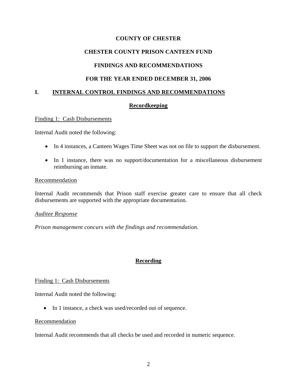### **CHESTER COUNTY PRISON CANTEEN FUND**

#### **FINDINGS AND RECOMMENDATIONS**

#### **FOR THE YEAR ENDED DECEMBER 31, 2006**

#### **I. INTERNAL CONTROL FINDINGS AND RECOMMENDATIONS**

#### **Recordkeeping**

#### Finding 1: Cash Disbursements

Internal Audit noted the following:

- In 4 instances, a Canteen Wages Time Sheet was not on file to support the disbursement.
- In 1 instance, there was no support/documentation for a miscellaneous disbursement reimbursing an inmate.

#### Recommendation

Internal Audit recommends that Prison staff exercise greater care to ensure that all check disbursements are supported with the appropriate documentation.

#### *Auditee Response*

*Prison management concurs with the findings and recommendation.* 

# **Recording**

#### Finding 1: Cash Disbursements

Internal Audit noted the following:

• In 1 instance, a check was used/recorded out of sequence.

#### Recommendation

Internal Audit recommends that all checks be used and recorded in numeric sequence.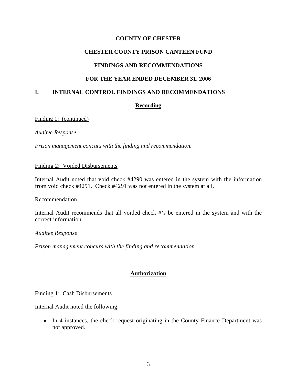# **CHESTER COUNTY PRISON CANTEEN FUND**

# **FINDINGS AND RECOMMENDATIONS**

# **FOR THE YEAR ENDED DECEMBER 31, 2006**

# **I. INTERNAL CONTROL FINDINGS AND RECOMMENDATIONS**

# **Recording**

Finding 1: (continued)

*Auditee Response*

*Prison management concurs with the finding and recommendation.* 

#### Finding 2: Voided Disbursements

Internal Audit noted that void check #4290 was entered in the system with the information from void check #4291. Check #4291 was not entered in the system at all.

#### Recommendation

Internal Audit recommends that all voided check #'s be entered in the system and with the correct information.

#### *Auditee Response*

*Prison management concurs with the finding and recommendation.* 

# **Authorization**

# Finding 1: Cash Disbursements

Internal Audit noted the following:

• In 4 instances, the check request originating in the County Finance Department was not approved.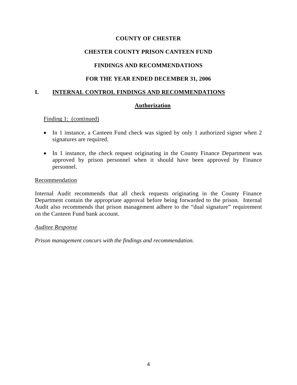# **CHESTER COUNTY PRISON CANTEEN FUND**

# **FINDINGS AND RECOMMENDATIONS**

# **FOR THE YEAR ENDED DECEMBER 31, 2006**

# **I. INTERNAL CONTROL FINDINGS AND RECOMMENDATIONS**

# **Authorization**

Finding 1: (continued)

- In 1 instance, a Canteen Fund check was signed by only 1 authorized signer when 2 signatures are required.
- In 1 instance, the check request originating in the County Finance Department was approved by prison personnel when it should have been approved by Finance personnel.

#### Recommendation

Internal Audit recommends that all check requests originating in the County Finance Department contain the appropriate approval before being forwarded to the prison. Internal Audit also recommends that prison management adhere to the "dual signature" requirement on the Canteen Fund bank account.

#### *Auditee Response*

*Prison management concurs with the findings and recommendation.*